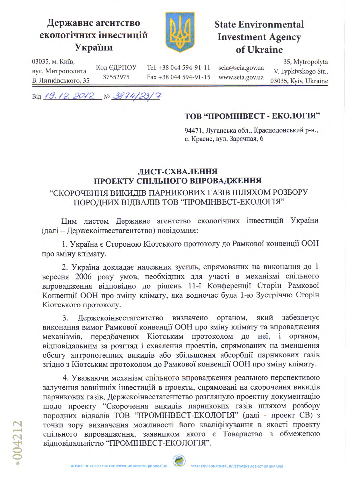## Державне агентство екологічних інвестицій України



**State Environmental Investment Agency** of Ukraine

03035, м. Київ, вул. Митрополита В. Липківського, 35

Tel. +38 044 594-91-11 Fax +38 044 594-91-15 seia@seia.gov.ua www.seia.gov.ua

35, Mytropolyta V. Lypkivskogo Str., 03035, Kyiv, Ukraine

Від 19.12. 2012 № 3874/23/7

Код ЄДРПОУ

37552975

## ТОВ "ПРОМІНВЕСТ - ЕКОЛОГІЯ"

94471, Луганська обл., Краснодонський р-н., с. Красне, вул. Заречная, 6

## ЛИСТ-СХВАЛЕННЯ ПРОЕКТУ СПІЛЬНОГО ВПРОВАДЖЕННЯ

## "СКОРОЧЕННЯ ВИКИДІВ ПАРНИКОВИХ ГАЗІВ ШЛЯХОМ РОЗБОРУ ПОРОДНИХ ВІДВАЛІВ ТОВ "ПРОМІНВЕСТ-ЕКОЛОГІЯ"

Цим листом Державне агентство екологічних інвестицій України (далі - Держекоінвестагентство) повідомляє:

1. Україна є Стороною Кіотського протоколу до Рамкової конвенції ООН про зміну клімату.

2. Україна докладає належних зусиль, спрямованих на виконання до 1 вересня 2006 року умов, необхідних для участі в механізмі спільного впровадження відповідно до рішень 11-ї Конференції Сторін Рамкової Конвенції ООН про зміну клімату, яка водночас була 1-ю Зустріччю Сторін Кіотського протоколу.

3. Держекоінвестагентство визначено органом, який забезпечує виконання вимог Рамкової конвенції ООН про зміну клімату та впровадження механізмів, передбачених Кіотським протоколом до неї, і органом, відповідальним за розгляд і схвалення проектів, спрямованих на зменшення обсягу антропогенних викидів або збільшення абсорбції парникових газів згідно з Кіотським протоколом до Рамкової конвенції ООН про зміну клімату.

4. Уважаючи механізм спільного впровадження реальною перспективою залучення зовнішніх інвестицій в проекти, спрямовані на скорочення викидів парникових газів, Держекоінвестагентство розглянуло проектну документацію щодо проекту "Скорочення викидів парникових газів шляхом розбору породних відвалів ТОВ "ПРОМІНВЕСТ-ЕКОЛОГІЯ" (далі - проект СВ) з точки зору визначення можливості його кваліфікування в якості проекту спільного впровадження, заявником якого є Товариство з обмеженою відповідальністю "ПРОМІНВЕСТ-ЕКОЛОГІЯ".